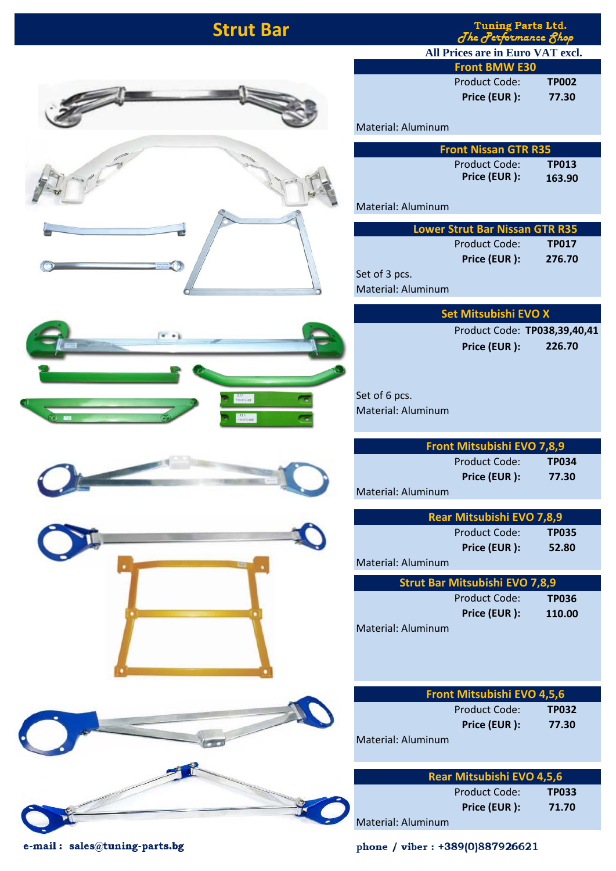## **Strut Bar**

Tuning Parts Ltd.<br>The Performance Shop

Product Code: **TP002 Price (EUR ): 77.30**









Material: Aluminum

| <b>Front Nissan GTR R35</b>   |                        |
|-------------------------------|------------------------|
| Product Code:<br>Price (EUR): | <b>TP013</b><br>163.90 |
|                               |                        |

**Front BMW E30**

**All Prices are in Euro VAT excl.**

Material: Aluminum

| <b>Lower Strut Bar Nissan GTR R35</b> |               |              |
|---------------------------------------|---------------|--------------|
|                                       | Product Code: | <b>TP017</b> |
|                                       | Price (EUR):  | 276.70       |
| Set of 3 pcs.                         |               |              |

Material: Aluminum

| Set Mitsubishi EVO X |                              |
|----------------------|------------------------------|
|                      | Product Code: TP038,39,40,41 |

**Price (EUR ): 226.70**

Set of 6 pcs. Material: Aluminum

|                    | <b>Front Mitsubishi EVO 7,8,9</b> |              |  |
|--------------------|-----------------------------------|--------------|--|
|                    | Product Code:                     | <b>TP034</b> |  |
|                    | Price (EUR):                      | 77.30        |  |
| Material: Aluminum |                                   |              |  |

|                    | Rear Mitsubishi EVO 7,8,9 |              |
|--------------------|---------------------------|--------------|
|                    | Product Code:             | <b>TP035</b> |
|                    | Price (EUR):              | 52.80        |
| Material: Aluminum |                           |              |
|                    |                           |              |

| <b>Strut Bar Mitsubishi EVO 7,8,9</b> |               |        |
|---------------------------------------|---------------|--------|
|                                       | Product Code: | TP036  |
|                                       | Price (EUR):  | 110.00 |
| Material: Aluminum                    |               |        |

|                  | <b>Front Mitsubishi EVO 4,5,6</b> |       |  |
|------------------|-----------------------------------|-------|--|
|                  | Product Code:                     | TP032 |  |
|                  | Price (EUR):                      | 77.30 |  |
| terial: Aluminum |                                   |       |  |

|                    | Rear Mitsubishi EVO 4,5,6 |              |  |
|--------------------|---------------------------|--------------|--|
|                    | Product Code:             | <b>TP033</b> |  |
|                    | Price (EUR):              | 71.70        |  |
| Material: Aluminum |                           |              |  |

e-mail: sales@tuning-parts.bg

phone / viber: +389(0)887926621